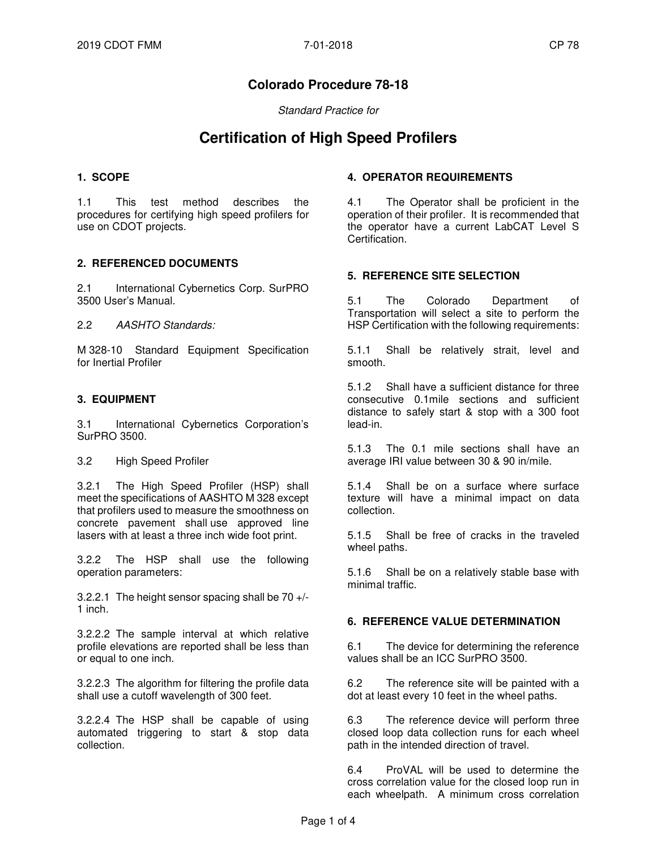# **Colorado Procedure 78-18**

Standard Practice for

# **Certification of High Speed Profilers**

#### **1. SCOPE**

1.1 This test method describes the procedures for certifying high speed profilers for use on CDOT projects.

### **2. REFERENCED DOCUMENTS**

2.1 International Cybernetics Corp. SurPRO 3500 User's Manual.

2.2 AASHTO Standards:

M 328-10 Standard Equipment Specification for Inertial Profiler

# **3. EQUIPMENT**

3.1 International Cybernetics Corporation's SurPRO 3500.

3.2 High Speed Profiler

3.2.1 The High Speed Profiler (HSP) shall meet the specifications of AASHTO M 328 except that profilers used to measure the smoothness on concrete pavement shall use approved line lasers with at least a three inch wide foot print.

3.2.2 The HSP shall use the following operation parameters:

3.2.2.1 The height sensor spacing shall be 70 +/- 1 inch.

3.2.2.2 The sample interval at which relative profile elevations are reported shall be less than or equal to one inch.

3.2.2.3 The algorithm for filtering the profile data shall use a cutoff wavelength of 300 feet.

3.2.2.4 The HSP shall be capable of using automated triggering to start & stop data collection.

#### **4. OPERATOR REQUIREMENTS**

4.1 The Operator shall be proficient in the operation of their profiler. It is recommended that the operator have a current LabCAT Level S Certification.

### **5. REFERENCE SITE SELECTION**

5.1 The Colorado Department of Transportation will select a site to perform the HSP Certification with the following requirements:

5.1.1 Shall be relatively strait, level and smooth.

5.1.2 Shall have a sufficient distance for three consecutive 0.1mile sections and sufficient distance to safely start & stop with a 300 foot lead-in.

5.1.3 The 0.1 mile sections shall have an average IRI value between 30 & 90 in/mile.

5.1.4 Shall be on a surface where surface texture will have a minimal impact on data collection.

5.1.5 Shall be free of cracks in the traveled wheel paths.

5.1.6 Shall be on a relatively stable base with minimal traffic.

#### **6. REFERENCE VALUE DETERMINATION**

6.1 The device for determining the reference values shall be an ICC SurPRO 3500.

6.2 The reference site will be painted with a dot at least every 10 feet in the wheel paths.

6.3 The reference device will perform three closed loop data collection runs for each wheel path in the intended direction of travel.

6.4 ProVAL will be used to determine the cross correlation value for the closed loop run in each wheelpath. A minimum cross correlation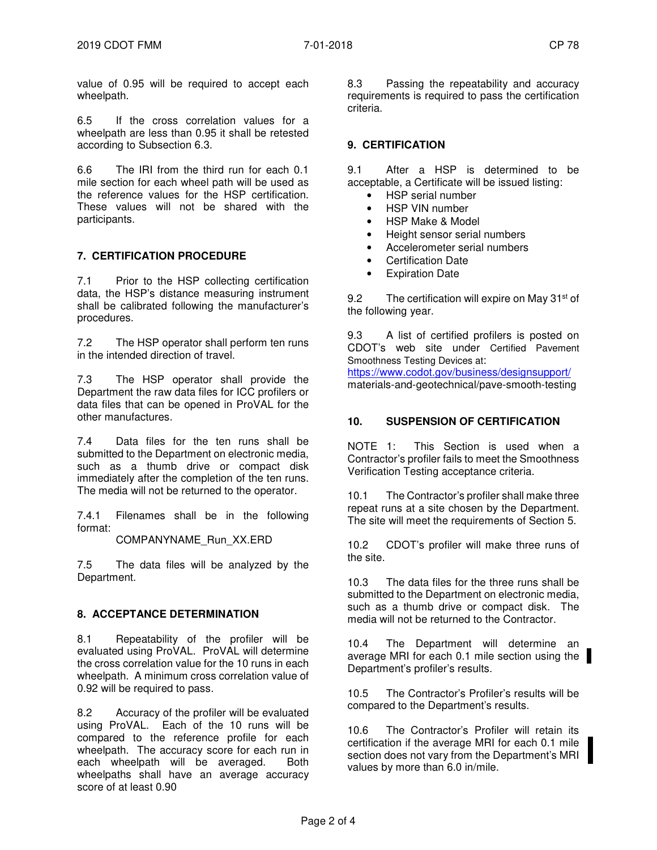value of 0.95 will be required to accept each wheelpath.

6.5 If the cross correlation values for a wheelpath are less than 0.95 it shall be retested according to Subsection 6.3.

6.6 The IRI from the third run for each 0.1 mile section for each wheel path will be used as the reference values for the HSP certification. These values will not be shared with the participants.

# **7. CERTIFICATION PROCEDURE**

7.1 Prior to the HSP collecting certification data, the HSP's distance measuring instrument shall be calibrated following the manufacturer's procedures.

7.2 The HSP operator shall perform ten runs in the intended direction of travel.

7.3 The HSP operator shall provide the Department the raw data files for ICC profilers or data files that can be opened in ProVAL for the other manufactures.

7.4 Data files for the ten runs shall be submitted to the Department on electronic media, such as a thumb drive or compact disk immediately after the completion of the ten runs. The media will not be returned to the operator.

7.4.1 Filenames shall be in the following format:

COMPANYNAME\_Run\_XX.ERD

7.5 The data files will be analyzed by the Department.

### **8. ACCEPTANCE DETERMINATION**

8.1 Repeatability of the profiler will be evaluated using ProVAL. ProVAL will determine the cross correlation value for the 10 runs in each wheelpath. A minimum cross correlation value of 0.92 will be required to pass.

8.2 Accuracy of the profiler will be evaluated using ProVAL. Each of the 10 runs will be compared to the reference profile for each wheelpath. The accuracy score for each run in each wheelpath will be averaged. Both wheelpaths shall have an average accuracy score of at least 0.90

8.3 Passing the repeatability and accuracy requirements is required to pass the certification criteria.

# **9. CERTIFICATION**

9.1 After a HSP is determined to be acceptable, a Certificate will be issued listing:

- HSP serial number
- HSP VIN number
- HSP Make & Model
- Height sensor serial numbers
- Accelerometer serial numbers
- Certification Date
- Expiration Date

9.2 The certification will expire on May 31<sup>st</sup> of the following year.

9.3 A list of certified profilers is posted on CDOT's web site under Certified Pavement Smoothness Testing Devices at:

https://www.codot.gov/business/designsupport/ materials-and-geotechnical/pave-smooth-testing

#### **10. SUSPENSION OF CERTIFICATION**

NOTE 1: This Section is used when a Contractor's profiler fails to meet the Smoothness Verification Testing acceptance criteria.

10.1 The Contractor's profiler shall make three repeat runs at a site chosen by the Department. The site will meet the requirements of Section 5.

10.2 CDOT's profiler will make three runs of the site.

10.3 The data files for the three runs shall be submitted to the Department on electronic media, such as a thumb drive or compact disk. The media will not be returned to the Contractor.

10.4 The Department will determine an average MRI for each 0.1 mile section using the Department's profiler's results.

10.5 The Contractor's Profiler's results will be compared to the Department's results.

10.6 The Contractor's Profiler will retain its certification if the average MRI for each 0.1 mile section does not vary from the Department's MRI values by more than 6.0 in/mile.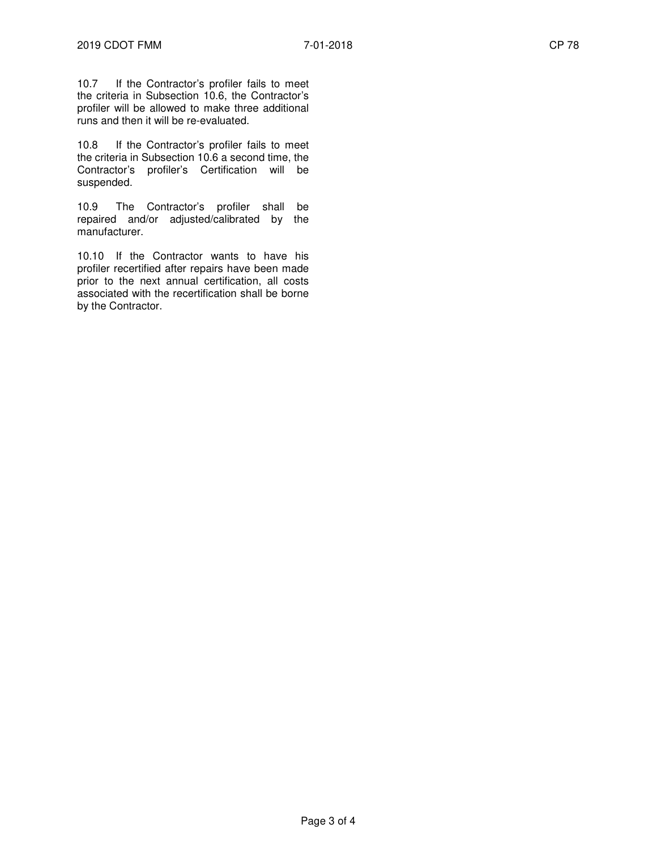10.7 If the Contractor's profiler fails to meet the criteria in Subsection 10.6, the Contractor's profiler will be allowed to make three additional runs and then it will be re-evaluated.

10.8 If the Contractor's profiler fails to meet the criteria in Subsection 10.6 a second time, the Contractor's profiler's Certification will be suspended.

10.9 The Contractor's profiler shall be repaired and/or adjusted/calibrated by the manufacturer.

10.10 If the Contractor wants to have his profiler recertified after repairs have been made prior to the next annual certification, all costs associated with the recertification shall be borne by the Contractor.